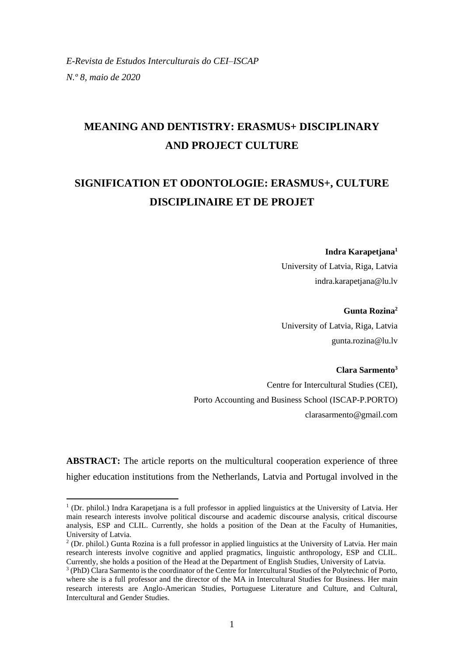# **MEANING AND DENTISTRY: ERASMUS+ DISCIPLINARY AND PROJECT CULTURE**

# **SIGNIFICATION ET ODONTOLOGIE: ERASMUS+, CULTURE DISCIPLINAIRE ET DE PROJET**

### **Indra Karapetjana<sup>1</sup>**

University of Latvia, Riga, Latvia indra.karapetjana@lu.lv

### **Gunta Rozina<sup>2</sup>**

University of Latvia, Riga, Latvia gunta.rozina@lu.lv

# **Clara Sarmento<sup>3</sup>**

Centre for Intercultural Studies (CEI), Porto Accounting and Business School (ISCAP-P.PORTO) clarasarmento@gmail.com

**ABSTRACT:** The article reports on the multicultural cooperation experience of three higher education institutions from the Netherlands, Latvia and Portugal involved in the

<sup>&</sup>lt;sup>1</sup> (Dr. philol.) Indra Karapetjana is a full professor in applied linguistics at the University of Latvia. Her main research interests involve political discourse and academic discourse analysis, critical discourse analysis, ESP and CLIL. Currently, she holds a position of the Dean at the Faculty of Humanities, University of Latvia.

<sup>2</sup> (Dr. philol.) Gunta Rozina is a full professor in applied linguistics at the University of Latvia. Her main research interests involve cognitive and applied pragmatics, linguistic anthropology, ESP and CLIL. Currently, she holds a position of the Head at the Department of English Studies, University of Latvia.

<sup>&</sup>lt;sup>3</sup> (PhD) Clara Sarmento is the coordinator of the Centre for Intercultural Studies of the Polytechnic of Porto, where she is a full professor and the director of the MA in Intercultural Studies for Business. Her main research interests are Anglo-American Studies, Portuguese Literature and Culture, and Cultural, Intercultural and Gender Studies.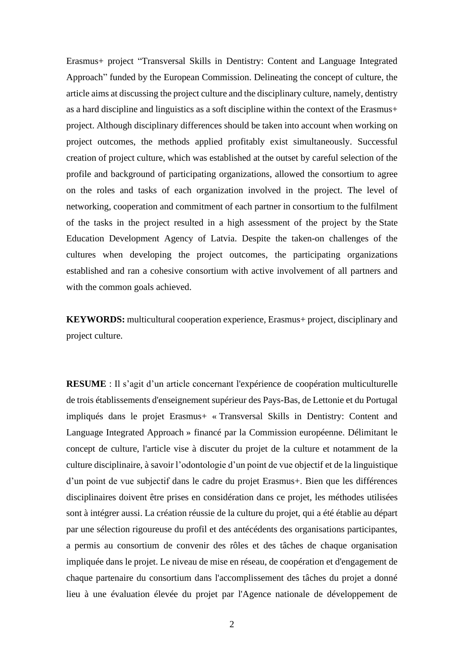Erasmus+ project "Transversal Skills in Dentistry: Content and Language Integrated Approach" funded by the European Commission. Delineating the concept of culture, the article aims at discussing the project culture and the disciplinary culture, namely, dentistry as a hard discipline and linguistics as a soft discipline within the context of the Erasmus+ project. Although disciplinary differences should be taken into account when working on project outcomes, the methods applied profitably exist simultaneously. Successful creation of project culture, which was established at the outset by careful selection of the profile and background of participating organizations, allowed the consortium to agree on the roles and tasks of each organization involved in the project. The level of networking, cooperation and commitment of each partner in consortium to the fulfilment of the tasks in the project resulted in a high assessment of the project by the State Education Development Agency of Latvia. Despite the taken-on challenges of the cultures when developing the project outcomes, the participating organizations established and ran a cohesive consortium with active involvement of all partners and with the common goals achieved.

**KEYWORDS:** multicultural cooperation experience, Erasmus+ project, disciplinary and project culture.

**RESUME** : Il s'agit d'un article concernant l'expérience de coopération multiculturelle de trois établissements d'enseignement supérieur des Pays-Bas, de Lettonie et du Portugal impliqués dans le projet Erasmus+ « Transversal Skills in Dentistry: Content and Language Integrated Approach » financé par la Commission européenne. Délimitant le concept de culture, l'article vise à discuter du projet de la culture et notamment de la culture disciplinaire, à savoir l'odontologie d'un point de vue objectif et de la linguistique d'un point de vue subjectif dans le cadre du projet Erasmus+. Bien que les différences disciplinaires doivent être prises en considération dans ce projet, les méthodes utilisées sont à intégrer aussi. La création réussie de la culture du projet, qui a été établie au départ par une sélection rigoureuse du profil et des antécédents des organisations participantes, a permis au consortium de convenir des rôles et des tâches de chaque organisation impliquée dans le projet. Le niveau de mise en réseau, de coopération et d'engagement de chaque partenaire du consortium dans l'accomplissement des tâches du projet a donné lieu à une évaluation élevée du projet par l'Agence nationale de développement de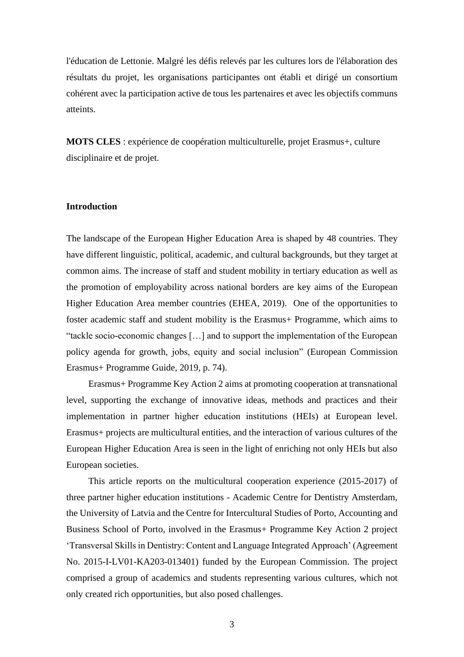l'éducation de Lettonie. Malgré les défis relevés par les cultures lors de l'élaboration des résultats du projet, les organisations participantes ont établi et dirigé un consortium cohérent avec la participation active de tous les partenaires et avec les objectifs communs atteints.

**MOTS CLES** : expérience de coopération multiculturelle, projet Erasmus+, culture disciplinaire et de projet.

## **Introduction**

The landscape of the European Higher Education Area is shaped by 48 countries. They have different linguistic, political, academic, and cultural backgrounds, but they target at common aims. The increase of staff and student mobility in tertiary education as well as the promotion of employability across national borders are key aims of the European Higher Education Area member countries (EHEA, 2019). One of the opportunities to foster academic staff and student mobility is the Erasmus+ Programme, which aims to "tackle socio-economic changes […] and to support the implementation of the European policy agenda for growth, jobs, equity and social inclusion" (European Commission Erasmus+ Programme Guide, 2019, p. 74).

Erasmus+ Programme Key Action 2 aims at promoting cooperation at transnational level, supporting the exchange of innovative ideas, methods and practices and their implementation in partner higher education institutions (HEIs) at European level. Erasmus+ projects are multicultural entities, and the interaction of various cultures of the European Higher Education Area is seen in the light of enriching not only HEIs but also European societies.

This article reports on the multicultural cooperation experience (2015-2017) of three partner higher education institutions - Academic Centre for Dentistry Amsterdam, the University of Latvia and the Centre for Intercultural Studies of Porto, Accounting and Business School of Porto, involved in the Erasmus+ Programme Key Action 2 project 'Transversal Skills in Dentistry: Content and Language Integrated Approach' (Agreement No. 2015-I-LV01-KA203-013401) funded by the European Commission. The project comprised a group of academics and students representing various cultures, which not only created rich opportunities, but also posed challenges.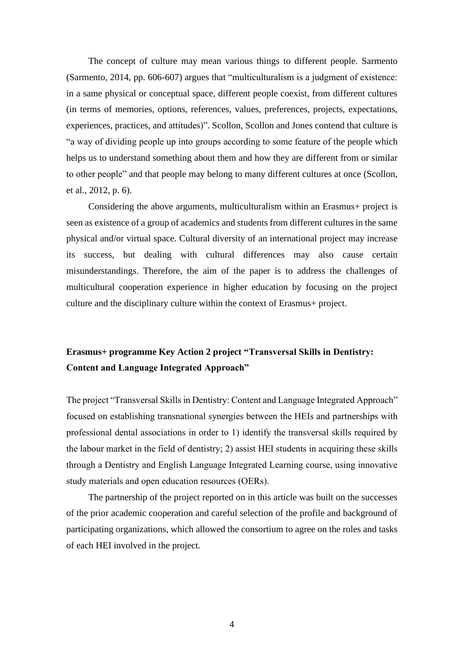The concept of culture may mean various things to different people. Sarmento (Sarmento, 2014, pp. 606-607) argues that "multiculturalism is a judgment of existence: in a same physical or conceptual space, different people coexist, from different cultures (in terms of memories, options, references, values, preferences, projects, expectations, experiences, practices, and attitudes)". Scollon, Scollon and Jones contend that culture is "a way of dividing people up into groups according to some feature of the people which helps us to understand something about them and how they are different from or similar to other people" and that people may belong to many different cultures at once (Scollon, et al., 2012, p. 6).

Considering the above arguments, multiculturalism within an Erasmus+ project is seen as existence of a group of academics and students from different cultures in the same physical and/or virtual space. Cultural diversity of an international project may increase its success, but dealing with cultural differences may also cause certain misunderstandings. Therefore, the aim of the paper is to address the challenges of multicultural cooperation experience in higher education by focusing on the project culture and the disciplinary culture within the context of Erasmus+ project.

# **Erasmus+ programme Key Action 2 project "Transversal Skills in Dentistry: Content and Language Integrated Approach"**

The project "Transversal Skills in Dentistry: Content and Language Integrated Approach" focused on establishing transnational synergies between the HEIs and partnerships with professional dental associations in order to 1) identify the transversal skills required by the labour market in the field of dentistry; 2) assist HEI students in acquiring these skills through a Dentistry and English Language Integrated Learning course, using innovative study materials and open education resources (OERs).

The partnership of the project reported on in this article was built on the successes of the prior academic cooperation and careful selection of the profile and background of participating organizations, which allowed the consortium to agree on the roles and tasks of each HEI involved in the project.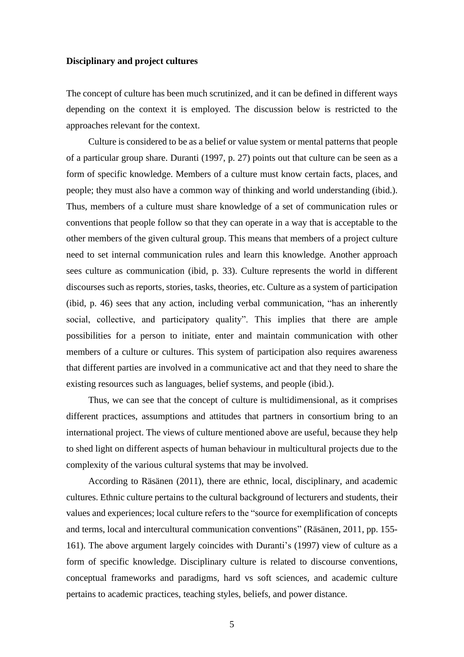### **Disciplinary and project cultures**

The concept of culture has been much scrutinized, and it can be defined in different ways depending on the context it is employed. The discussion below is restricted to the approaches relevant for the context.

Culture is considered to be as a belief or value system or mental patterns that people of a particular group share. Duranti (1997, p. 27) points out that culture can be seen as a form of specific knowledge. Members of a culture must know certain facts, places, and people; they must also have a common way of thinking and world understanding (ibid.). Thus, members of a culture must share knowledge of a set of communication rules or conventions that people follow so that they can operate in a way that is acceptable to the other members of the given cultural group. This means that members of a project culture need to set internal communication rules and learn this knowledge. Another approach sees culture as communication (ibid, p. 33). Culture represents the world in different discourses such as reports, stories, tasks, theories, etc. Culture as a system of participation (ibid, p. 46) sees that any action, including verbal communication, "has an inherently social, collective, and participatory quality". This implies that there are ample possibilities for a person to initiate, enter and maintain communication with other members of a culture or cultures. This system of participation also requires awareness that different parties are involved in a communicative act and that they need to share the existing resources such as languages, belief systems, and people (ibid.).

Thus, we can see that the concept of culture is multidimensional, as it comprises different practices, assumptions and attitudes that partners in consortium bring to an international project. The views of culture mentioned above are useful, because they help to shed light on different aspects of human behaviour in multicultural projects due to the complexity of the various cultural systems that may be involved.

According to Räsänen (2011), there are ethnic, local, disciplinary, and academic cultures. Ethnic culture pertains to the cultural background of lecturers and students, their values and experiences; local culture refers to the "source for exemplification of concepts and terms, local and intercultural communication conventions" (Räsänen, 2011, pp. 155- 161). The above argument largely coincides with Duranti's (1997) view of culture as a form of specific knowledge. Disciplinary culture is related to discourse conventions, conceptual frameworks and paradigms, hard vs soft sciences, and academic culture pertains to academic practices, teaching styles, beliefs, and power distance.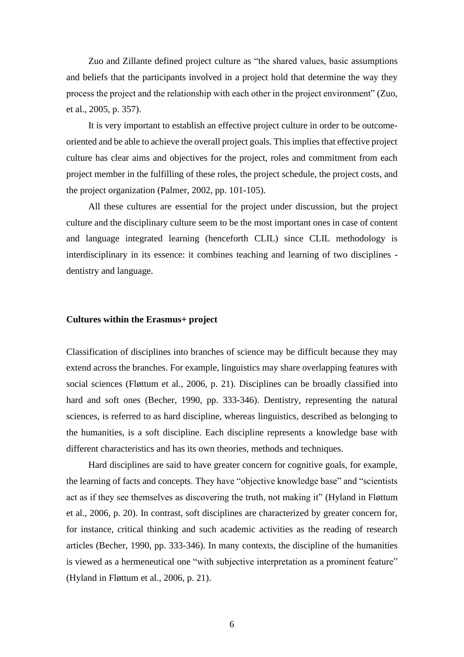Zuo and Zillante defined project culture as "the shared values, basic assumptions and beliefs that the participants involved in a project hold that determine the way they process the project and the relationship with each other in the project environment" (Zuo, et al., 2005, p. 357).

It is very important to establish an effective project culture in order to be outcomeoriented and be able to achieve the overall project goals. This implies that effective project culture has clear aims and objectives for the project, roles and commitment from each project member in the fulfilling of these roles, the project schedule, the project costs, and the project organization (Palmer, 2002, pp. 101-105).

All these cultures are essential for the project under discussion, but the project culture and the disciplinary culture seem to be the most important ones in case of content and language integrated learning (henceforth CLIL) since CLIL methodology is interdisciplinary in its essence: it combines teaching and learning of two disciplines dentistry and language.

## **Cultures within the Erasmus+ project**

Classification of disciplines into branches of science may be difficult because they may extend across the branches. For example, linguistics may share overlapping features with social sciences [\(Fløttum](https://www.google.com/search?tbm=bks&q=inauthor:%22Kjersti+Fl%C3%B8ttum%22&sa=X&ved=2ahUKEwj_hN635e3jAhWSlosKHWw1D4gQ9AgwAHoECAMQAg) et al., 2006, p. 21). Disciplines can be broadly classified into hard and soft ones (Becher, 1990, pp. 333-346). Dentistry, representing the natural sciences, is referred to as hard discipline, whereas linguistics, described as belonging to the humanities, is a soft discipline. Each discipline represents a knowledge base with different characteristics and has its own theories, methods and techniques.

Hard disciplines are said to have greater concern for cognitive goals, for example, the learning of facts and concepts. They have "objective knowledge base" and "scientists act as if they see themselves as discovering the truth, not making it" (Hyland in [Fløttum](https://www.google.com/search?tbm=bks&q=inauthor:%22Kjersti+Fl%C3%B8ttum%22&sa=X&ved=2ahUKEwj_hN635e3jAhWSlosKHWw1D4gQ9AgwAHoECAMQAg) et al., 2006, p. 20). In contrast, soft disciplines are characterized by greater concern for, for instance, critical thinking and such academic activities as the reading of research articles (Becher, 1990, pp. 333-346). In many contexts, the discipline of the humanities is viewed as a hermeneutical one "with subjective interpretation as a prominent feature" (Hyland in [Fløttum](https://www.google.com/search?tbm=bks&q=inauthor:%22Kjersti+Fl%C3%B8ttum%22&sa=X&ved=2ahUKEwj_hN635e3jAhWSlosKHWw1D4gQ9AgwAHoECAMQAg) et al., 2006, p. 21).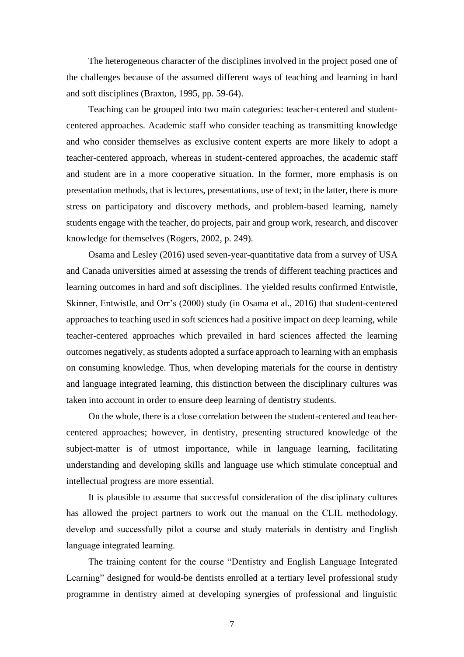The heterogeneous character of the disciplines involved in the project posed one of the challenges because of the assumed different ways of teaching and learning in hard and soft disciplines (Braxton, 1995, pp. 59-64).

Teaching can be grouped into two main categories: teacher-centered and studentcentered approaches. Academic staff who consider teaching as transmitting knowledge and who consider themselves as exclusive content experts are more likely to adopt a teacher-centered approach, whereas in student-centered approaches, the academic staff and student are in a more cooperative situation. In the former, more emphasis is on presentation methods, that is lectures, presentations, use of text; in the latter, there is more stress on participatory and discovery methods, and problem-based learning, namely students engage with the teacher, do projects, pair and group work, research, and discover knowledge for themselves (Rogers, 2002, p. 249).

Osama and Lesley (2016) used seven-year-quantitative data from a survey of USA and Canada universities aimed at assessing the trends of different teaching practices and learning outcomes in hard and soft disciplines. The yielded results confirmed Entwistle, Skinner, Entwistle, and Orr's (2000) study (in Osama et al., 2016) that student-centered approaches to teaching used in soft sciences had a positive impact on deep learning, while teacher-centered approaches which prevailed in hard sciences affected the learning outcomes negatively, as students adopted a surface approach to learning with an emphasis on consuming knowledge. Thus, when developing materials for the course in dentistry and language integrated learning, this distinction between the disciplinary cultures was taken into account in order to ensure deep learning of dentistry students.

On the whole, there is a close correlation between the student-centered and teachercentered approaches; however, in dentistry, presenting structured knowledge of the subject-matter is of utmost importance, while in language learning, facilitating understanding and developing skills and language use which stimulate conceptual and intellectual progress are more essential.

It is plausible to assume that successful consideration of the disciplinary cultures has allowed the project partners to work out the manual on the CLIL methodology, develop and successfully pilot a course and study materials in dentistry and English language integrated learning.

The training content for the course "Dentistry and English Language Integrated Learning" designed for would-be dentists enrolled at a tertiary level professional study programme in dentistry aimed at developing synergies of professional and linguistic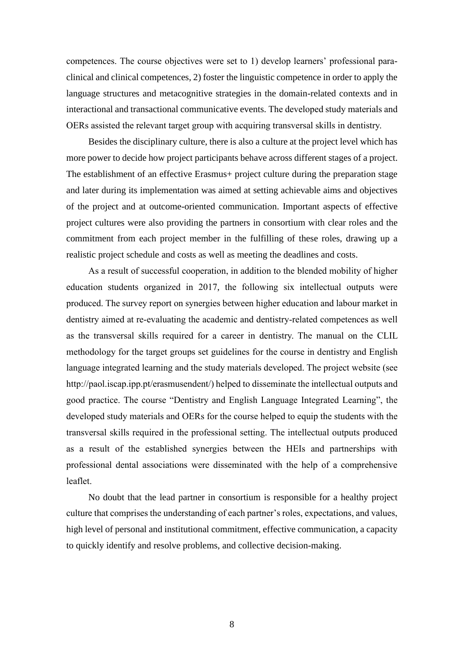competences. The course objectives were set to 1) develop learners' professional paraclinical and clinical competences, 2) foster the linguistic competence in order to apply the language structures and metacognitive strategies in the domain-related contexts and in interactional and transactional communicative events. The developed study materials and OERs assisted the relevant target group with acquiring transversal skills in dentistry.

Besides the disciplinary culture, there is also a culture at the project level which has more power to decide how project participants behave across different stages of a project. The establishment of an effective Erasmus+ project culture during the preparation stage and later during its implementation was aimed at setting achievable aims and objectives of the project and at outcome-oriented communication. Important aspects of effective project cultures were also providing the partners in consortium with clear roles and the commitment from each project member in the fulfilling of these roles, drawing up a realistic project schedule and costs as well as meeting the deadlines and costs.

As a result of successful cooperation, in addition to the blended mobility of higher education students organized in 2017, the following six intellectual outputs were produced. The survey report on synergies between higher education and labour market in dentistry aimed at re-evaluating the academic and dentistry-related competences as well as the transversal skills required for a career in dentistry. The manual on the CLIL methodology for the target groups set guidelines for the course in dentistry and English language integrated learning and the study materials developed. The project website (see http://paol.iscap.ipp.pt/erasmusendent/) helped to disseminate the intellectual outputs and good practice. The course "Dentistry and English Language Integrated Learning", the developed study materials and OERs for the course helped to equip the students with the transversal skills required in the professional setting. The intellectual outputs produced as a result of the established synergies between the HEIs and partnerships with professional dental associations were disseminated with the help of a comprehensive leaflet.

No doubt that the lead partner in consortium is responsible for a healthy project culture that comprises the understanding of each partner's roles, expectations, and values, high level of personal and institutional commitment, effective communication, a capacity to quickly identify and resolve problems, and collective decision-making.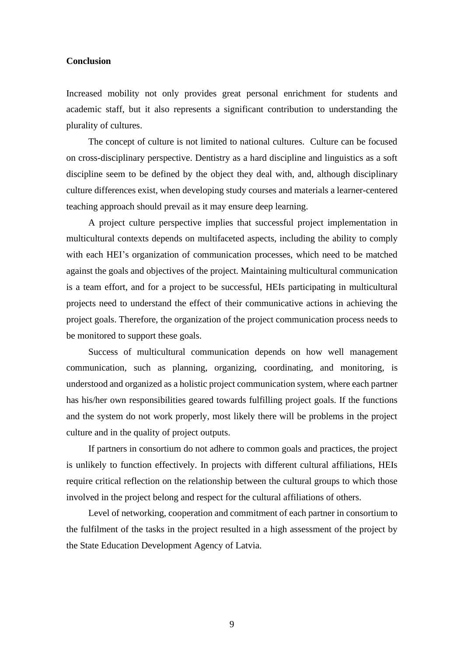## **Conclusion**

Increased mobility not only provides great personal enrichment for students and academic staff, but it also represents a significant contribution to understanding the plurality of cultures.

The concept of culture is not limited to national cultures. Culture can be focused on cross-disciplinary perspective. Dentistry as a hard discipline and linguistics as a soft discipline seem to be defined by the object they deal with, and, although disciplinary culture differences exist, when developing study courses and materials a learner-centered teaching approach should prevail as it may ensure deep learning.

A project culture perspective implies that successful project implementation in multicultural contexts depends on multifaceted aspects, including the ability to comply with each HEI's organization of communication processes, which need to be matched against the goals and objectives of the project. Maintaining multicultural communication is a team effort, and for a project to be successful, HEIs participating in multicultural projects need to understand the effect of their communicative actions in achieving the project goals. Therefore, the organization of the project communication process needs to be monitored to support these goals.

Success of multicultural communication depends on how well management communication, such as planning, organizing, coordinating, and monitoring, is understood and organized as a holistic project communication system, where each partner has his/her own responsibilities geared towards fulfilling project goals. If the functions and the system do not work properly, most likely there will be problems in the project culture and in the quality of project outputs.

If partners in consortium do not adhere to common goals and practices, the project is unlikely to function effectively. In projects with different cultural affiliations, HEIs require critical reflection on the relationship between the cultural groups to which those involved in the project belong and respect for the cultural affiliations of others.

Level of networking, cooperation and commitment of each partner in consortium to the fulfilment of the tasks in the project resulted in a high assessment of the project by the State Education Development Agency of Latvia.